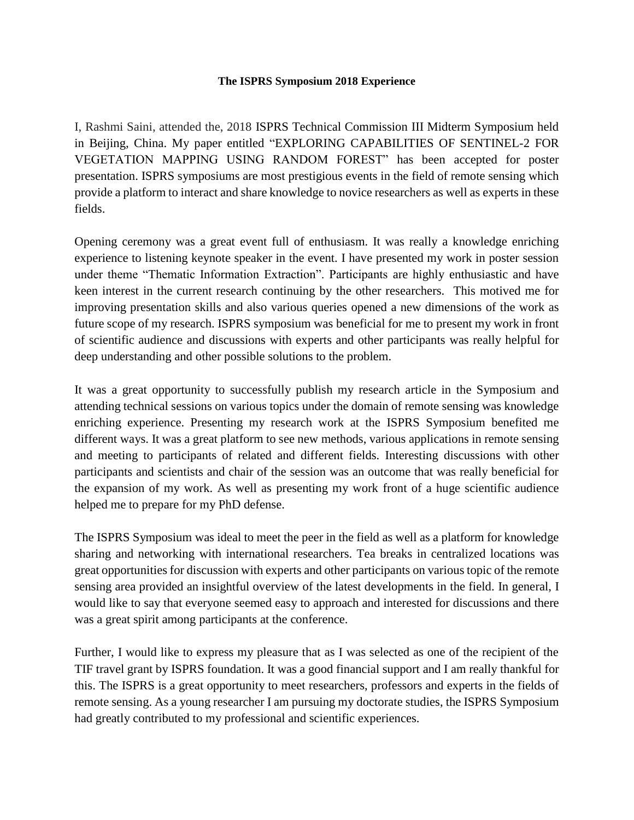## **The ISPRS Symposium 2018 Experience**

I, Rashmi Saini, attended the, 2018 ISPRS Technical Commission III Midterm Symposium held in Beijing, China. My paper entitled "EXPLORING CAPABILITIES OF SENTINEL-2 FOR VEGETATION MAPPING USING RANDOM FOREST" has been accepted for poster presentation. ISPRS symposiums are most prestigious events in the field of remote sensing which provide a platform to interact and share knowledge to novice researchers as well as experts in these fields.

Opening ceremony was a great event full of enthusiasm. It was really a knowledge enriching experience to listening keynote speaker in the event. I have presented my work in poster session under theme "Thematic Information Extraction". Participants are highly enthusiastic and have keen interest in the current research continuing by the other researchers. This motived me for improving presentation skills and also various queries opened a new dimensions of the work as future scope of my research. ISPRS symposium was beneficial for me to present my work in front of scientific audience and discussions with experts and other participants was really helpful for deep understanding and other possible solutions to the problem.

It was a great opportunity to successfully publish my research article in the Symposium and attending technical sessions on various topics under the domain of remote sensing was knowledge enriching experience. Presenting my research work at the ISPRS Symposium benefited me different ways. It was a great platform to see new methods, various applications in remote sensing and meeting to participants of related and different fields. Interesting discussions with other participants and scientists and chair of the session was an outcome that was really beneficial for the expansion of my work. As well as presenting my work front of a huge scientific audience helped me to prepare for my PhD defense.

The ISPRS Symposium was ideal to meet the peer in the field as well as a platform for knowledge sharing and networking with international researchers. Tea breaks in centralized locations was great opportunities for discussion with experts and other participants on various topic of the remote sensing area provided an insightful overview of the latest developments in the field. In general, I would like to say that everyone seemed easy to approach and interested for discussions and there was a great spirit among participants at the conference.

Further, I would like to express my pleasure that as I was selected as one of the recipient of the TIF travel grant by ISPRS foundation. It was a good financial support and I am really thankful for this. The ISPRS is a great opportunity to meet researchers, professors and experts in the fields of remote sensing. As a young researcher I am pursuing my doctorate studies, the ISPRS Symposium had greatly contributed to my professional and scientific experiences.